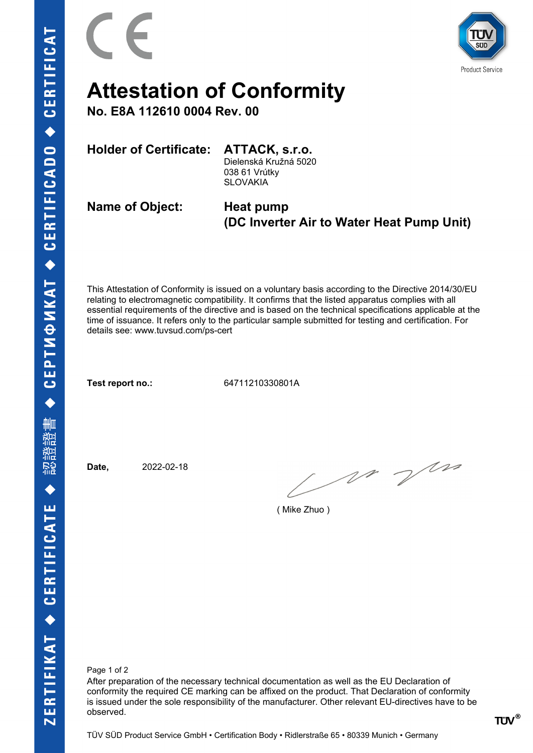

**Product Service** 

## **Attestation of Conformity**

**No. E8A 112610 0004 Rev. 00**

**Holder of Certificate: ATTACK, s.r.o.**

Dielenská Kružná 5020 038 61 Vrútky **SLOVAKIA** 

**Name of Object: Heat pump**

## **(DC Inverter Air to Water Heat Pump Unit)**

This Attestation of Conformity is issued on a voluntary basis according to the Directive 2014/30/EU relating to electromagnetic compatibility. It confirms that the listed apparatus complies with all essential requirements of the directive and is based on the technical specifications applicable at the time of issuance. It refers only to the particular sample submitted for testing and certification. For details see: www.tuvsud.com/ps-cert

**Test report no.:** 64711210330801A

**Date,** 2022-02-18

M Vm

( Mike Zhuo )

Page 1 of 2

After preparation of the necessary technical documentation as well as the EU Declaration of conformity the required CE marking can be affixed on the product. That Declaration of conformity is issued under the sole responsibility of the manufacturer. Other relevant EU-directives have to be observed.